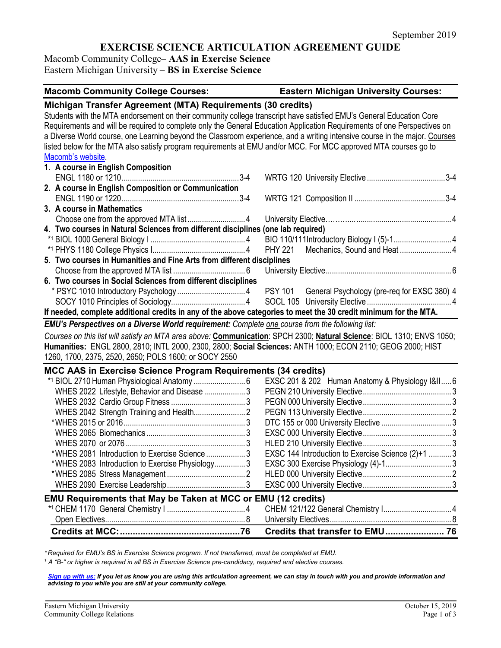# **EXERCISE SCIENCE ARTICULATION AGREEMENT GUIDE**

Macomb Community College– **AAS in Exercise Science** Eastern Michigan University – **BS in Exercise Science**

| <b>Macomb Community College Courses:</b>                                                                                                                                                                                                                                                                                                                                                                                                                                                                                                                                              | <b>Eastern Michigan University Courses:</b>        |
|---------------------------------------------------------------------------------------------------------------------------------------------------------------------------------------------------------------------------------------------------------------------------------------------------------------------------------------------------------------------------------------------------------------------------------------------------------------------------------------------------------------------------------------------------------------------------------------|----------------------------------------------------|
| Michigan Transfer Agreement (MTA) Requirements (30 credits)<br>Students with the MTA endorsement on their community college transcript have satisfied EMU's General Education Core<br>Requirements and will be required to complete only the General Education Application Requirements of one Perspectives on<br>a Diverse World course, one Learning beyond the Classroom experience, and a writing intensive course in the major. Courses<br>listed below for the MTA also satisfy program requirements at EMU and/or MCC. For MCC approved MTA courses go to<br>Macomb's website. |                                                    |
| 1. A course in English Composition                                                                                                                                                                                                                                                                                                                                                                                                                                                                                                                                                    |                                                    |
| 2. A course in English Composition or Communication                                                                                                                                                                                                                                                                                                                                                                                                                                                                                                                                   |                                                    |
| 3. A course in Mathematics                                                                                                                                                                                                                                                                                                                                                                                                                                                                                                                                                            |                                                    |
|                                                                                                                                                                                                                                                                                                                                                                                                                                                                                                                                                                                       |                                                    |
| 4. Two courses in Natural Sciences from different disciplines (one lab required)                                                                                                                                                                                                                                                                                                                                                                                                                                                                                                      |                                                    |
|                                                                                                                                                                                                                                                                                                                                                                                                                                                                                                                                                                                       |                                                    |
|                                                                                                                                                                                                                                                                                                                                                                                                                                                                                                                                                                                       | <b>PHY 221</b>                                     |
| 5. Two courses in Humanities and Fine Arts from different disciplines                                                                                                                                                                                                                                                                                                                                                                                                                                                                                                                 |                                                    |
|                                                                                                                                                                                                                                                                                                                                                                                                                                                                                                                                                                                       |                                                    |
| 6. Two courses in Social Sciences from different disciplines                                                                                                                                                                                                                                                                                                                                                                                                                                                                                                                          |                                                    |
|                                                                                                                                                                                                                                                                                                                                                                                                                                                                                                                                                                                       |                                                    |
|                                                                                                                                                                                                                                                                                                                                                                                                                                                                                                                                                                                       |                                                    |
| If needed, complete additional credits in any of the above categories to meet the 30 credit minimum for the MTA.                                                                                                                                                                                                                                                                                                                                                                                                                                                                      |                                                    |
| EMU's Perspectives on a Diverse World requirement: Complete one course from the following list:                                                                                                                                                                                                                                                                                                                                                                                                                                                                                       |                                                    |
| Courses on this list will satisfy an MTA area above: Communication: SPCH 2300; Natural Science: BIOL 1310; ENVS 1050;<br>Humanities: ENGL 2800, 2810; INTL 2000, 2300, 2800; Social Sciences: ANTH 1000; ECON 2110; GEOG 2000; HIST                                                                                                                                                                                                                                                                                                                                                   |                                                    |
| 1260, 1700, 2375, 2520, 2650; POLS 1600; or SOCY 2550                                                                                                                                                                                                                                                                                                                                                                                                                                                                                                                                 |                                                    |
| MCC AAS in Exercise Science Program Requirements (34 credits)                                                                                                                                                                                                                                                                                                                                                                                                                                                                                                                         |                                                    |
|                                                                                                                                                                                                                                                                                                                                                                                                                                                                                                                                                                                       | EXSC 201 & 202 Human Anatomy & Physiology I&II 6   |
| WHES 2022 Lifestyle, Behavior and Disease 3                                                                                                                                                                                                                                                                                                                                                                                                                                                                                                                                           |                                                    |
|                                                                                                                                                                                                                                                                                                                                                                                                                                                                                                                                                                                       |                                                    |
|                                                                                                                                                                                                                                                                                                                                                                                                                                                                                                                                                                                       |                                                    |
|                                                                                                                                                                                                                                                                                                                                                                                                                                                                                                                                                                                       |                                                    |
|                                                                                                                                                                                                                                                                                                                                                                                                                                                                                                                                                                                       |                                                    |
|                                                                                                                                                                                                                                                                                                                                                                                                                                                                                                                                                                                       |                                                    |
| *WHES 2081 Introduction to Exercise Science 3                                                                                                                                                                                                                                                                                                                                                                                                                                                                                                                                         | EXSC 144 Introduction to Exercise Science (2)+1  3 |
| *WHES 2083 Introduction to Exercise Physiology3                                                                                                                                                                                                                                                                                                                                                                                                                                                                                                                                       |                                                    |
|                                                                                                                                                                                                                                                                                                                                                                                                                                                                                                                                                                                       |                                                    |
|                                                                                                                                                                                                                                                                                                                                                                                                                                                                                                                                                                                       |                                                    |
| EMU Requirements that May be Taken at MCC or EMU (12 credits)                                                                                                                                                                                                                                                                                                                                                                                                                                                                                                                         |                                                    |
|                                                                                                                                                                                                                                                                                                                                                                                                                                                                                                                                                                                       | CHEM 121/122 General Chemistry I 4                 |
|                                                                                                                                                                                                                                                                                                                                                                                                                                                                                                                                                                                       |                                                    |
|                                                                                                                                                                                                                                                                                                                                                                                                                                                                                                                                                                                       |                                                    |

*\* Required for EMU's BS in Exercise Science program. If not transferred, must be completed at EMU.* 

*<sup>1</sup> A "B-" or higher is required in all BS in Exercise Science pre-candidacy, required and elective courses.*

*[Sign up with us:](https://www.emich.edu/ccr/articulation-agreements/signup.php) If you let us know you are using this articulation agreement, we can stay in touch with you and provide information and advising to you while you are still at your community college.*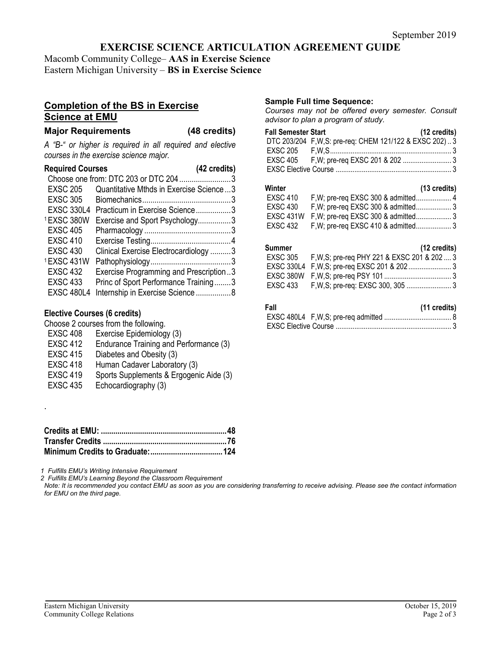## **EXERCISE SCIENCE ARTICULATION AGREEMENT GUIDE**

Macomb Community College– **AAS in Exercise Science** Eastern Michigan University – **BS in Exercise Science**

## **Completion of the BS in Exercise Science at EMU**

## **Major Requirements (48 credits)**

*A "B-" or higher is required in all required and elective courses in the exercise science major.*

| <b>Required Courses</b> | (42 credits)                              |
|-------------------------|-------------------------------------------|
|                         | Choose one from: DTC 203 or DTC 204 3     |
| <b>EXSC 205</b>         | Quantitative Mthds in Exercise Science3   |
| <b>EXSC 305</b>         |                                           |
|                         | EXSC 330L4 Practicum in Exercise Science3 |
| 1EXSC 380W              | Exercise and Sport Psychology3            |
| <b>EXSC 405</b>         |                                           |
| <b>EXSC 410</b>         |                                           |
| <b>EXSC 430</b>         | Clinical Exercise Electrocardiology 3     |
| 1EXSC 431W              |                                           |
| <b>EXSC 432</b>         | Exercise Programming and Prescription3    |
| <b>EXSC 433</b>         | Princ of Sport Performance Training3      |
| <b>EXSC 480L4</b>       | Internship in Exercise Science8           |

## **Elective Courses (6 credits)**

.

Choose 2 courses from the following.

- EXSC 408 Exercise Epidemiology (3) EXSC 412 Endurance Training and Performance (3) EXSC 415 Diabetes and Obesity (3) EXSC 418 Human Cadaver Laboratory (3) EXSC 419 Sports Supplements & Ergogenic Aide (3)
- EXSC 435 Echocardiography (3)

*1 Fulfills EMU's Writing Intensive Requirement*

*2 Fulfills EMU's Learning Beyond the Classroom Requirement*

*Note: It is recommended you contact EMU as soon as you are considering transferring to receive advising. Please see the contact information for EMU on the third page.*

#### **Sample Full time Sequence:**

*Courses may not be offered every semester. Consult advisor to plan a program of study.*

| <b>Fall Semester Start</b> |                                                         | (12 credits) |
|----------------------------|---------------------------------------------------------|--------------|
|                            | DTC 203/204 F, W, S: pre-req: CHEM 121/122 & EXSC 202)3 |              |
|                            |                                                         |              |
|                            |                                                         |              |
|                            |                                                         |              |

| Winter          |                                    | $(13 \text{ credits})$ |
|-----------------|------------------------------------|------------------------|
| <b>EXSC 410</b> |                                    |                        |
| EXSC 430        |                                    |                        |
|                 |                                    |                        |
| EXSC 432        | F, W; pre-req EXSC 410 & admitted3 |                        |

#### **Summer (12 credits)**

| EXSC 305 F, W, S; pre-req PHY 221 & EXSC 201 & 202  3 |  |
|-------------------------------------------------------|--|
|                                                       |  |
|                                                       |  |
|                                                       |  |
|                                                       |  |

| Fall | (11 credits) |
|------|--------------|
|      |              |
|      |              |